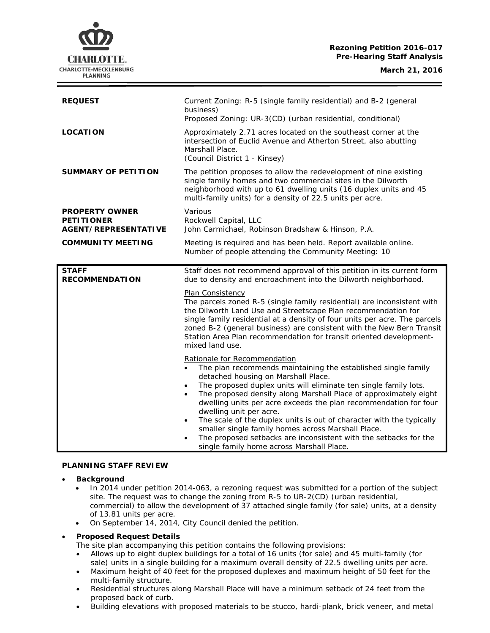# **Rezoning Petition 2016-017 Pre-Hearing Staff Analysis**



| <b>REQUEST</b>                                                            | Current Zoning: R-5 (single family residential) and B-2 (general<br>business)<br>Proposed Zoning: UR-3(CD) (urban residential, conditional)                                                                                                                                                                                                                                                                        |
|---------------------------------------------------------------------------|--------------------------------------------------------------------------------------------------------------------------------------------------------------------------------------------------------------------------------------------------------------------------------------------------------------------------------------------------------------------------------------------------------------------|
| <b>LOCATION</b>                                                           | Approximately 2.71 acres located on the southeast corner at the<br>intersection of Euclid Avenue and Atherton Street, also abutting<br>Marshall Place.<br>(Council District 1 - Kinsey)                                                                                                                                                                                                                            |
| <b>SUMMARY OF PETITION</b>                                                | The petition proposes to allow the redevelopment of nine existing<br>single family homes and two commercial sites in the Dilworth<br>neighborhood with up to 61 dwelling units (16 duplex units and 45<br>multi-family units) for a density of 22.5 units per acre.                                                                                                                                                |
| <b>PROPERTY OWNER</b><br><b>PETITIONER</b><br><b>AGENT/REPRESENTATIVE</b> | Various<br>Rockwell Capital, LLC<br>John Carmichael, Robinson Bradshaw & Hinson, P.A.                                                                                                                                                                                                                                                                                                                              |
| <b>COMMUNITY MEETING</b>                                                  | Meeting is required and has been held. Report available online.<br>Number of people attending the Community Meeting: 10                                                                                                                                                                                                                                                                                            |
| <b>STAFF</b><br><b>RECOMMENDATION</b>                                     | Staff does not recommend approval of this petition in its current form<br>due to density and encroachment into the Dilworth neighborhood.                                                                                                                                                                                                                                                                          |
|                                                                           | Plan Consistency<br>The parcels zoned R-5 (single family residential) are inconsistent with<br>the Dilworth Land Use and Streetscape Plan recommendation for<br>single family residential at a density of four units per acre. The parcels<br>zoned B-2 (general business) are consistent with the New Bern Transit<br>Station Area Plan recommendation for transit oriented development-<br>mixed land use.       |
|                                                                           | Rationale for Recommendation<br>The plan recommends maintaining the established single family<br>$\bullet$<br>detached housing on Marshall Place.<br>The proposed duplex units will eliminate ten single family lots.<br>$\bullet$<br>The proposed density along Marshall Place of approximately eight<br>$\bullet$<br>dwelling units per acre exceeds the plan recommendation for four<br>dwelling unit per acre. |
|                                                                           | The scale of the duplex units is out of character with the typically<br>$\bullet$<br>smaller single family homes across Marshall Place.<br>The proposed setbacks are inconsistent with the setbacks for the<br>$\bullet$<br>single family home across Marshall Place.                                                                                                                                              |

### **PLANNING STAFF REVIEW**

### • **Background**

- In 2014 under petition 2014-063, a rezoning request was submitted for a portion of the subject site. The request was to change the zoning from R-5 to UR-2(CD) (urban residential, commercial) to allow the development of 37 attached single family (for sale) units, at a density of 13.81 units per acre.
- On September 14, 2014, City Council denied the petition.

# • **Proposed Request Details**

The site plan accompanying this petition contains the following provisions:

- Allows up to eight duplex buildings for a total of 16 units (for sale) and 45 multi-family (for sale) units in a single building for a maximum overall density of 22.5 dwelling units per acre.
- Maximum height of 40 feet for the proposed duplexes and maximum height of 50 feet for the multi-family structure.
- Residential structures along Marshall Place will have a minimum setback of 24 feet from the proposed back of curb.
- Building elevations with proposed materials to be stucco, hardi-plank, brick veneer, and metal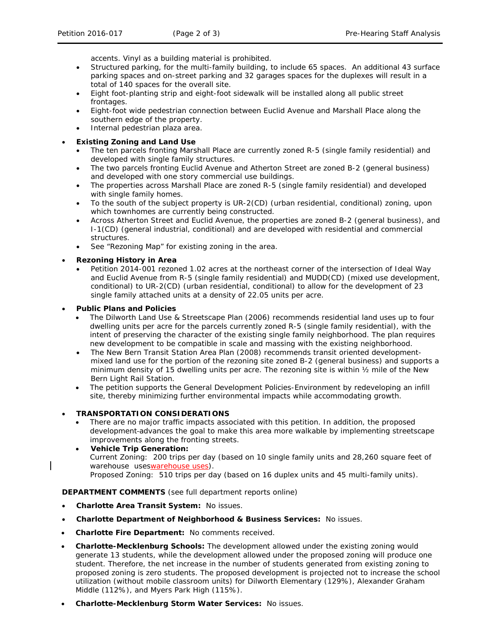accents. Vinyl as a building material is prohibited.

- Structured parking, for the multi-family building, to include 65 spaces. An additional 43 surface parking spaces and on-street parking and 32 garages spaces for the duplexes will result in a total of 140 spaces for the overall site.
- Eight foot-planting strip and eight-foot sidewalk will be installed along all public street frontages.
- Eight-foot wide pedestrian connection between Euclid Avenue and Marshall Place along the southern edge of the property.
- Internal pedestrian plaza area.
- **Existing Zoning and Land Use**
	- The ten parcels fronting Marshall Place are currently zoned R-5 (single family residential) and developed with single family structures.
	- The two parcels fronting Euclid Avenue and Atherton Street are zoned B-2 (general business) and developed with one story commercial use buildings.
	- The properties across Marshall Place are zoned R-5 (single family residential) and developed with single family homes.
	- To the south of the subject property is UR-2(CD) (urban residential, conditional) zoning, upon which townhomes are currently being constructed.
	- Across Atherton Street and Euclid Avenue, the properties are zoned B-2 (general business), and I-1(CD) (general industrial, conditional) and are developed with residential and commercial structures.
	- See "Rezoning Map" for existing zoning in the area.

• **Rezoning History in Area**

• Petition 2014-001 rezoned 1.02 acres at the northeast corner of the intersection of Ideal Way and Euclid Avenue from R-5 (single family residential) and MUDD(CD) (mixed use development, conditional) to UR-2(CD) (urban residential, conditional) to allow for the development of 23 single family attached units at a density of 22.05 units per acre.

• **Public Plans and Policies**

- The *Dilworth Land Use & Streetscape Plan* (2006) recommends residential land uses up to four dwelling units per acre for the parcels currently zoned R-5 (single family residential), with the intent of preserving the character of the existing single family neighborhood. The plan requires new development to be compatible in scale and massing with the existing neighborhood.
- The *New Bern Transit Station Area Plan* (2008) recommends transit oriented developmentmixed land use for the portion of the rezoning site zoned B-2 (general business) and supports a minimum density of 15 dwelling units per acre. The rezoning site is within ½ mile of the New Bern Light Rail Station.
- The petition supports the *General Development Policies-Environment* by redeveloping an infill site, thereby minimizing further environmental impacts while accommodating growth.
- **TRANSPORTATION CONSIDERATIONS**
	- There are no major traffic impacts associated with this petition. In addition, the proposed development advances the goal to make this area more walkable by implementing streetscape improvements along the fronting streets.
	- **Vehicle Trip Generation:** Current Zoning: 200 trips per day (based on 10 single family units and 28,260 square feet of warehouse useswarehouse uses). Proposed Zoning: 510 trips per day (based on 16 duplex units and 45 multi-family units).

**DEPARTMENT COMMENTS** (see full department reports online)

- **Charlotte Area Transit System:** No issues.
- **Charlotte Department of Neighborhood & Business Services:** No issues.
- **Charlotte Fire Department:** No comments received.
- **Charlotte-Mecklenburg Schools:** The development allowed under the existing zoning would generate 13 students, while the development allowed under the proposed zoning will produce one student. Therefore, the net increase in the number of students generated from existing zoning to proposed zoning is zero students. The proposed development is projected not to increase the school utilization (without mobile classroom units) for Dilworth Elementary (129%), Alexander Graham Middle (112%), and Myers Park High (115%).
- **Charlotte-Mecklenburg Storm Water Services:** No issues.